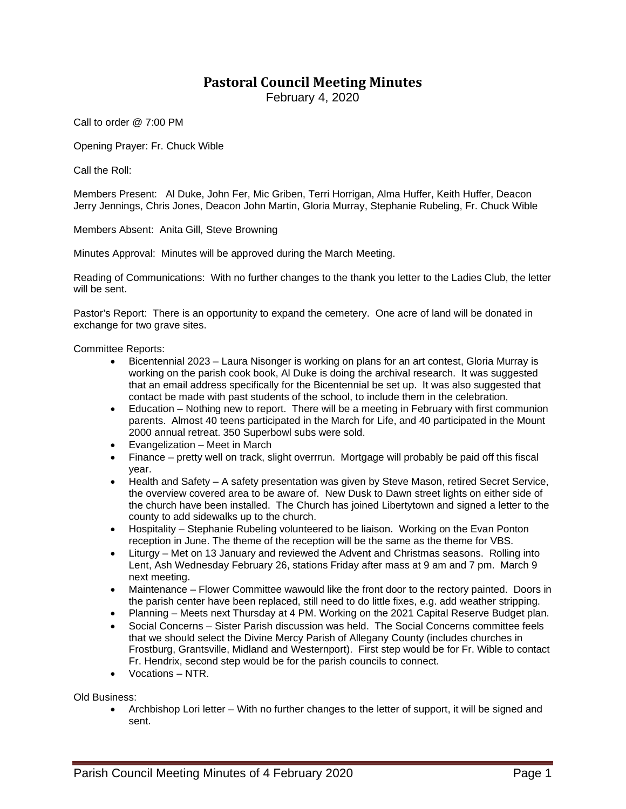## **Pastoral Council Meeting Minutes**

February 4, 2020

Call to order @ 7:00 PM

Opening Prayer: Fr. Chuck Wible

Call the Roll:

Members Present: Al Duke, John Fer, Mic Griben, Terri Horrigan, Alma Huffer, Keith Huffer, Deacon Jerry Jennings, Chris Jones, Deacon John Martin, Gloria Murray, Stephanie Rubeling, Fr. Chuck Wible

Members Absent: Anita Gill, Steve Browning

Minutes Approval: Minutes will be approved during the March Meeting.

Reading of Communications: With no further changes to the thank you letter to the Ladies Club, the letter will be sent.

Pastor's Report: There is an opportunity to expand the cemetery. One acre of land will be donated in exchange for two grave sites.

Committee Reports:

- Bicentennial 2023 Laura Nisonger is working on plans for an art contest, Gloria Murray is working on the parish cook book, Al Duke is doing the archival research. It was suggested that an email address specifically for the Bicentennial be set up. It was also suggested that contact be made with past students of the school, to include them in the celebration.
- Education Nothing new to report. There will be a meeting in February with first communion parents. Almost 40 teens participated in the March for Life, and 40 participated in the Mount 2000 annual retreat. 350 Superbowl subs were sold.
- Evangelization Meet in March
- Finance pretty well on track, slight overrrun. Mortgage will probably be paid off this fiscal year.
- Health and Safety A safety presentation was given by Steve Mason, retired Secret Service, the overview covered area to be aware of. New Dusk to Dawn street lights on either side of the church have been installed. The Church has joined Libertytown and signed a letter to the county to add sidewalks up to the church.
- Hospitality Stephanie Rubeling volunteered to be liaison. Working on the Evan Ponton reception in June. The theme of the reception will be the same as the theme for VBS.
- Liturgy Met on 13 January and reviewed the Advent and Christmas seasons. Rolling into Lent, Ash Wednesday February 26, stations Friday after mass at 9 am and 7 pm. March 9 next meeting.
- Maintenance Flower Committee wawould like the front door to the rectory painted. Doors in the parish center have been replaced, still need to do little fixes, e.g. add weather stripping.
- Planning Meets next Thursday at 4 PM. Working on the 2021 Capital Reserve Budget plan.
- Social Concerns Sister Parish discussion was held. The Social Concerns committee feels that we should select the Divine Mercy Parish of Allegany County (includes churches in Frostburg, Grantsville, Midland and Westernport). First step would be for Fr. Wible to contact Fr. Hendrix, second step would be for the parish councils to connect.
- Vocations NTR.

Old Business:

• Archbishop Lori letter – With no further changes to the letter of support, it will be signed and sent.